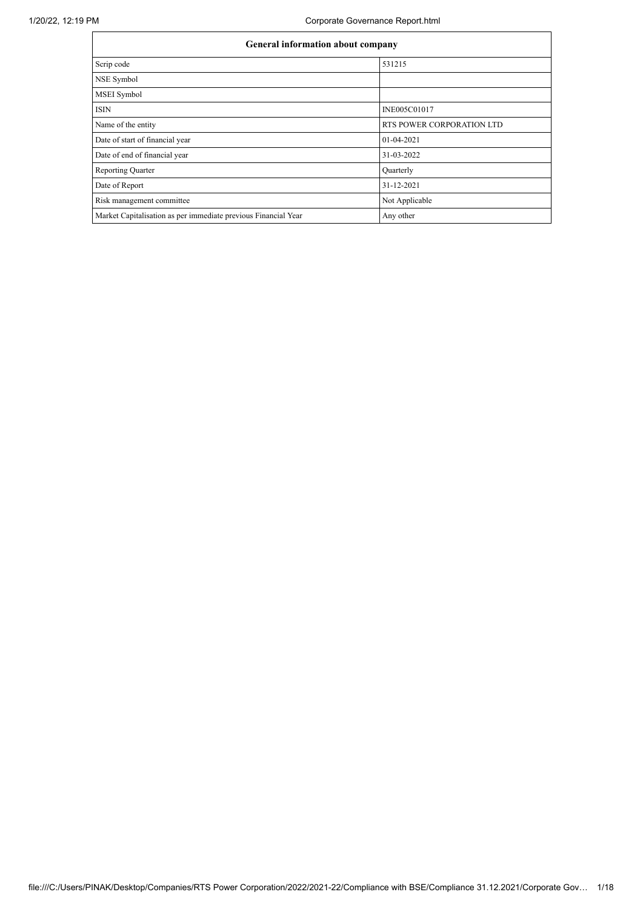|                                                                | <b>General information about company</b> |  |  |  |  |  |  |
|----------------------------------------------------------------|------------------------------------------|--|--|--|--|--|--|
| Scrip code                                                     | 531215                                   |  |  |  |  |  |  |
| NSE Symbol                                                     |                                          |  |  |  |  |  |  |
| <b>MSEI</b> Symbol                                             |                                          |  |  |  |  |  |  |
| <b>ISIN</b>                                                    | <b>INE005C01017</b>                      |  |  |  |  |  |  |
| Name of the entity                                             | RTS POWER CORPORATION LTD                |  |  |  |  |  |  |
| Date of start of financial year                                | 01-04-2021                               |  |  |  |  |  |  |
| Date of end of financial year                                  | 31-03-2022                               |  |  |  |  |  |  |
| <b>Reporting Quarter</b>                                       | Quarterly                                |  |  |  |  |  |  |
| Date of Report                                                 | 31-12-2021                               |  |  |  |  |  |  |
| Risk management committee                                      | Not Applicable                           |  |  |  |  |  |  |
| Market Capitalisation as per immediate previous Financial Year | Any other                                |  |  |  |  |  |  |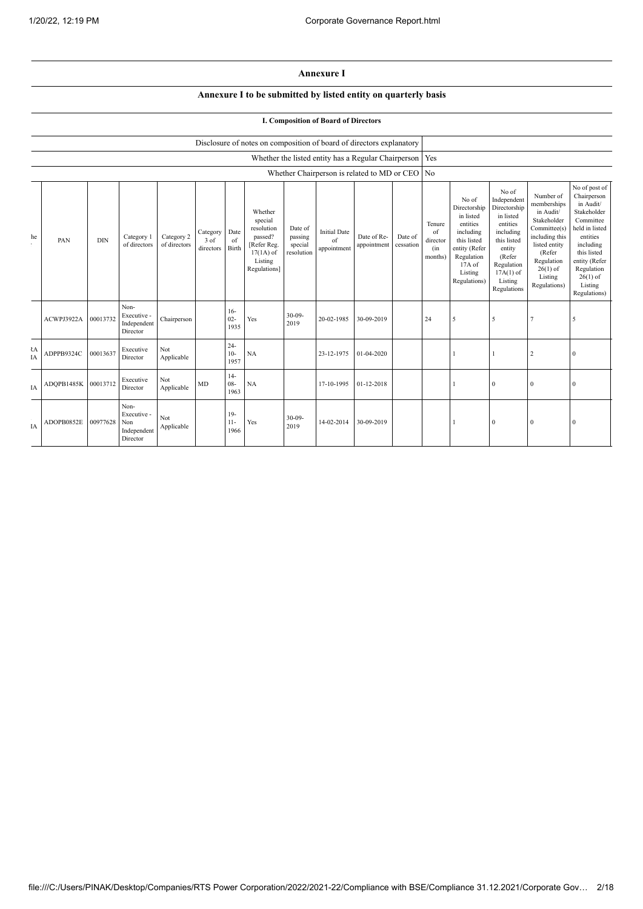## **Annexure I**

## **Annexure I to be submitted by listed entity on quarterly basis**

## **I. Composition of Board of Directors**

|          |            |            |                                                       |                            |                               |                         | Disclosure of notes on composition of board of directors explanatory                                 |                                             |                                                     |                            |                      |                                            |                                                                                                                                                  |                                                                                                                                                                      |                                                                                                                                                                          |                                                                                                                                                                                                         |
|----------|------------|------------|-------------------------------------------------------|----------------------------|-------------------------------|-------------------------|------------------------------------------------------------------------------------------------------|---------------------------------------------|-----------------------------------------------------|----------------------------|----------------------|--------------------------------------------|--------------------------------------------------------------------------------------------------------------------------------------------------|----------------------------------------------------------------------------------------------------------------------------------------------------------------------|--------------------------------------------------------------------------------------------------------------------------------------------------------------------------|---------------------------------------------------------------------------------------------------------------------------------------------------------------------------------------------------------|
|          |            |            |                                                       |                            |                               |                         |                                                                                                      |                                             | Whether the listed entity has a Regular Chairperson |                            |                      | Yes                                        |                                                                                                                                                  |                                                                                                                                                                      |                                                                                                                                                                          |                                                                                                                                                                                                         |
|          |            |            |                                                       |                            |                               |                         |                                                                                                      |                                             | Whether Chairperson is related to MD or CEO No      |                            |                      |                                            |                                                                                                                                                  |                                                                                                                                                                      |                                                                                                                                                                          |                                                                                                                                                                                                         |
| he       | PAN        | <b>DIN</b> | Category 1<br>of directors                            | Category 2<br>of directors | Category<br>3 of<br>directors | Date<br>of<br>Birth     | Whether<br>special<br>resolution<br>passed?<br>[Refer Reg.<br>$17(1A)$ of<br>Listing<br>Regulations] | Date of<br>passing<br>special<br>resolution | <b>Initial Date</b><br>of<br>appointment            | Date of Re-<br>appointment | Date of<br>cessation | Tenure<br>of<br>director<br>(in<br>months) | No of<br>Directorship<br>in listed<br>entities<br>including<br>this listed<br>entity (Refer<br>Regulation<br>$17A$ of<br>Listing<br>Regulations) | No of<br>Independent<br>Directorship<br>in listed<br>entities<br>including<br>this listed<br>entity<br>(Refer<br>Regulation<br>$17A(1)$ of<br>Listing<br>Regulations | Number of<br>memberships<br>in Audit/<br>Stakeholder<br>Committee(s)<br>including this<br>listed entity<br>(Refer<br>Regulation<br>$26(1)$ of<br>Listing<br>Regulations) | No of post of<br>Chairperson<br>in Audit/<br>Stakeholder<br>Committee<br>held in listed<br>entities<br>including<br>this listed<br>entity (Refer<br>Regulation<br>$26(1)$ of<br>Listing<br>Regulations) |
|          | ACWPJ3922A | 00013732   | Non-<br>Executive -<br>Independent<br>Director        | Chairperson                |                               | $16-$<br>$02 -$<br>1935 | Yes                                                                                                  | $30 - 09 -$<br>2019                         | 20-02-1985                                          | 30-09-2019                 |                      | 24                                         | 5                                                                                                                                                | 5                                                                                                                                                                    | $\overline{7}$                                                                                                                                                           | 5                                                                                                                                                                                                       |
| ł٨<br>IA | ADPPB9324C | 00013637   | Executive<br>Director                                 | Not<br>Applicable          |                               | $24 -$<br>$10-$<br>1957 | NA                                                                                                   |                                             | 23-12-1975                                          | 01-04-2020                 |                      |                                            |                                                                                                                                                  |                                                                                                                                                                      | 2                                                                                                                                                                        | $\mathbf{0}$                                                                                                                                                                                            |
| IA       | ADOPB1485K | 00013712   | Executive<br>Director                                 | Not<br>Applicable          | MD                            | $14-$<br>$08 -$<br>1963 | NA                                                                                                   |                                             | 17-10-1995                                          | 01-12-2018                 |                      |                                            |                                                                                                                                                  | $\Omega$                                                                                                                                                             | $\bf{0}$                                                                                                                                                                 | $\mathbf{0}$                                                                                                                                                                                            |
| IA       | ADOPB0852E | 00977628   | Non-<br>Executive -<br>Non<br>Independent<br>Director | Not<br>Applicable          |                               | $19-$<br>$11-$<br>1966  | Yes                                                                                                  | $30 - 09 -$<br>2019                         | 14-02-2014                                          | 30-09-2019                 |                      |                                            |                                                                                                                                                  | $\Omega$                                                                                                                                                             | $\mathbf{0}$                                                                                                                                                             | $\overline{0}$                                                                                                                                                                                          |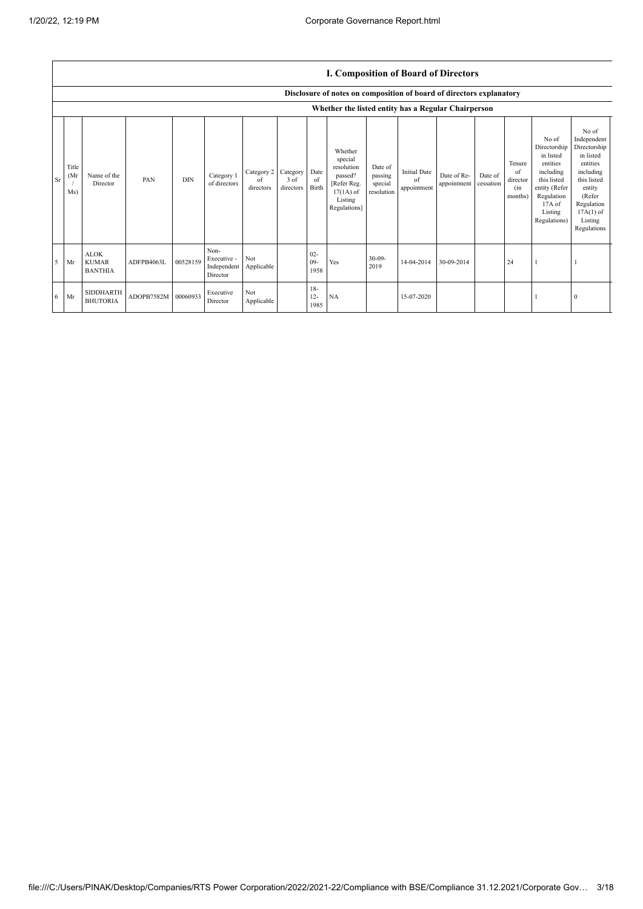|           | <b>I. Composition of Board of Directors</b><br>Disclosure of notes on composition of board of directors explanatory |                                               |            |            |                                                |                               |                               |                                |                                                                                                      |                                             |                                          |                            |                      |                                            |                                                                                                                                                |                                                                                                                                                                      |
|-----------|---------------------------------------------------------------------------------------------------------------------|-----------------------------------------------|------------|------------|------------------------------------------------|-------------------------------|-------------------------------|--------------------------------|------------------------------------------------------------------------------------------------------|---------------------------------------------|------------------------------------------|----------------------------|----------------------|--------------------------------------------|------------------------------------------------------------------------------------------------------------------------------------------------|----------------------------------------------------------------------------------------------------------------------------------------------------------------------|
|           | Whether the listed entity has a Regular Chairperson                                                                 |                                               |            |            |                                                |                               |                               |                                |                                                                                                      |                                             |                                          |                            |                      |                                            |                                                                                                                                                |                                                                                                                                                                      |
| <b>Sr</b> | Title<br>(Mr<br>Ms)                                                                                                 | Name of the<br>Director                       | PAN        | <b>DIN</b> | Category 1<br>of directors                     | Category 2<br>of<br>directors | Category<br>3 of<br>directors | Date<br><sub>of</sub><br>Birth | Whether<br>special<br>resolution<br>passed?<br>[Refer Reg.<br>$17(1A)$ of<br>Listing<br>Regulations] | Date of<br>passing<br>special<br>resolution | <b>Initial Date</b><br>of<br>appointment | Date of Re-<br>appointment | Date of<br>cessation | Tenure<br>of<br>director<br>(in<br>months) | No of<br>Directorship<br>in listed<br>entities<br>including<br>this listed<br>entity (Refer<br>Regulation<br>17A of<br>Listing<br>Regulations) | No of<br>Independent<br>Directorship<br>in listed<br>entities<br>including<br>this listed<br>entity<br>(Refer<br>Regulation<br>$17A(1)$ of<br>Listing<br>Regulations |
| 5         | Mr                                                                                                                  | <b>ALOK</b><br><b>KUMAR</b><br><b>BANTHIA</b> | ADFPB4063L | 00528159   | Non-<br>Executive -<br>Independent<br>Director | Not<br>Applicable             |                               | $02 -$<br>$09-$<br>1958        | Yes                                                                                                  | $30 - 09 -$<br>2019                         | 14-04-2014                               | 30-09-2014                 |                      | 24                                         |                                                                                                                                                |                                                                                                                                                                      |
| 6         | Mr                                                                                                                  | <b>SIDDHARTH</b><br><b>BHUTORIA</b>           | ADOPB7582M | 00060933   | Executive<br>Director                          | Not<br>Applicable             |                               | $18 -$<br>$12 -$<br>1985       | <b>NA</b>                                                                                            |                                             | 15-07-2020                               |                            |                      |                                            |                                                                                                                                                | $\Omega$                                                                                                                                                             |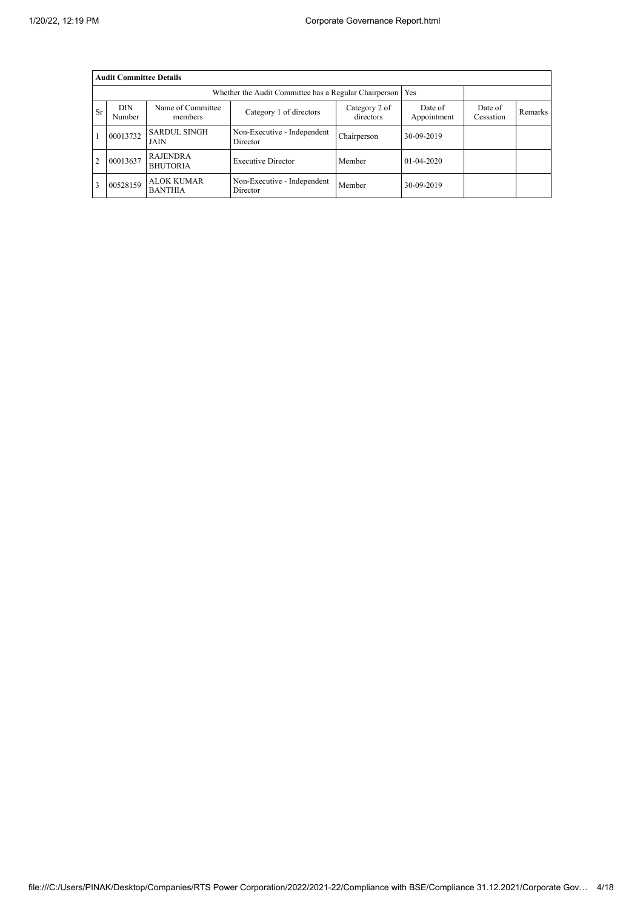|                | <b>Audit Committee Details</b> |                                     |                                         |                        |                      |         |  |  |  |  |
|----------------|--------------------------------|-------------------------------------|-----------------------------------------|------------------------|----------------------|---------|--|--|--|--|
|                |                                |                                     |                                         |                        |                      |         |  |  |  |  |
| <b>Sr</b>      | DIN<br>Number                  | Name of Committee<br>members        | Category 2 of<br>directors              | Date of<br>Appointment | Date of<br>Cessation | Remarks |  |  |  |  |
|                | 00013732                       | <b>SARDUL SINGH</b><br>JAIN         | Non-Executive - Independent<br>Director | Chairperson            | 30-09-2019           |         |  |  |  |  |
| $\overline{2}$ | 00013637                       | <b>RAJENDRA</b><br><b>BHUTORIA</b>  | <b>Executive Director</b>               | Member                 | $01 - 04 - 2020$     |         |  |  |  |  |
|                | 00528159                       | <b>ALOK KUMAR</b><br><b>BANTHIA</b> | Non-Executive - Independent<br>Director | Member                 | 30-09-2019           |         |  |  |  |  |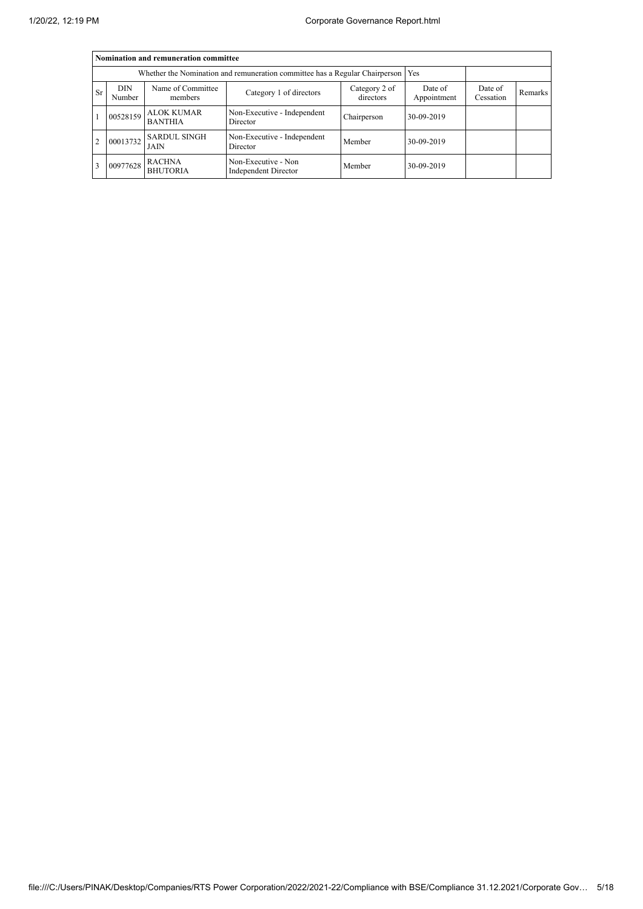|                | Nomination and remuneration committee                                       |                                     |                                                    |                      |            |  |  |  |  |  |
|----------------|-----------------------------------------------------------------------------|-------------------------------------|----------------------------------------------------|----------------------|------------|--|--|--|--|--|
|                | Whether the Nomination and remuneration committee has a Regular Chairperson |                                     |                                                    |                      |            |  |  |  |  |  |
| <b>Sr</b>      | DIN<br>Number                                                               | Name of Committee<br>members        | Date of<br>Appointment                             | Date of<br>Cessation | Remarks    |  |  |  |  |  |
|                | 00528159                                                                    | <b>ALOK KUMAR</b><br><b>BANTHIA</b> | Non-Executive - Independent<br>Director            | Chairperson          | 30-09-2019 |  |  |  |  |  |
| $\overline{2}$ | 00013732                                                                    | <b>SARDUL SINGH</b><br>JAIN         | Non-Executive - Independent<br>Director            | Member               | 30-09-2019 |  |  |  |  |  |
| 3              | 00977628                                                                    | <b>RACHNA</b><br><b>BHUTORIA</b>    | Non-Executive - Non<br><b>Independent Director</b> | Member               | 30-09-2019 |  |  |  |  |  |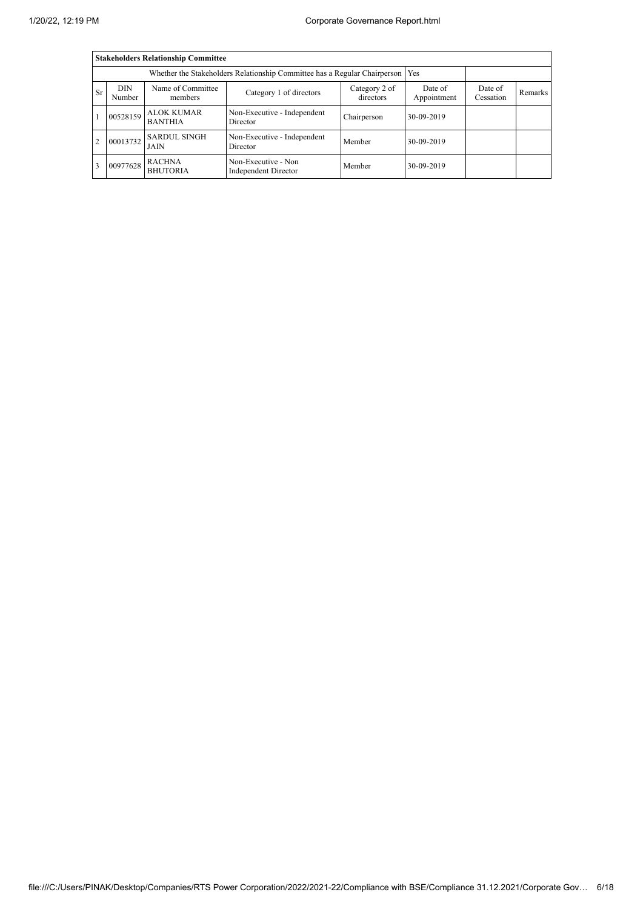|           | <b>Stakeholders Relationship Committee</b> |                                                                           |                                                    |                      |            |  |  |  |  |  |  |
|-----------|--------------------------------------------|---------------------------------------------------------------------------|----------------------------------------------------|----------------------|------------|--|--|--|--|--|--|
|           |                                            | Whether the Stakeholders Relationship Committee has a Regular Chairperson |                                                    | Yes                  |            |  |  |  |  |  |  |
| <b>Sr</b> | DIN<br>Number                              | Name of Committee<br>members                                              | Date of<br>Appointment                             | Date of<br>Cessation | Remarks    |  |  |  |  |  |  |
|           | 00528159                                   | <b>ALOK KUMAR</b><br><b>BANTHIA</b>                                       | Non-Executive - Independent<br>Director            | Chairperson          | 30-09-2019 |  |  |  |  |  |  |
| 2         | 00013732                                   | <b>SARDUL SINGH</b><br>JAIN                                               | Non-Executive - Independent<br>Director            | Member               | 30-09-2019 |  |  |  |  |  |  |
| 3         | 00977628                                   | <b>RACHNA</b><br><b>BHUTORIA</b>                                          | Non-Executive - Non<br><b>Independent Director</b> | Member               | 30-09-2019 |  |  |  |  |  |  |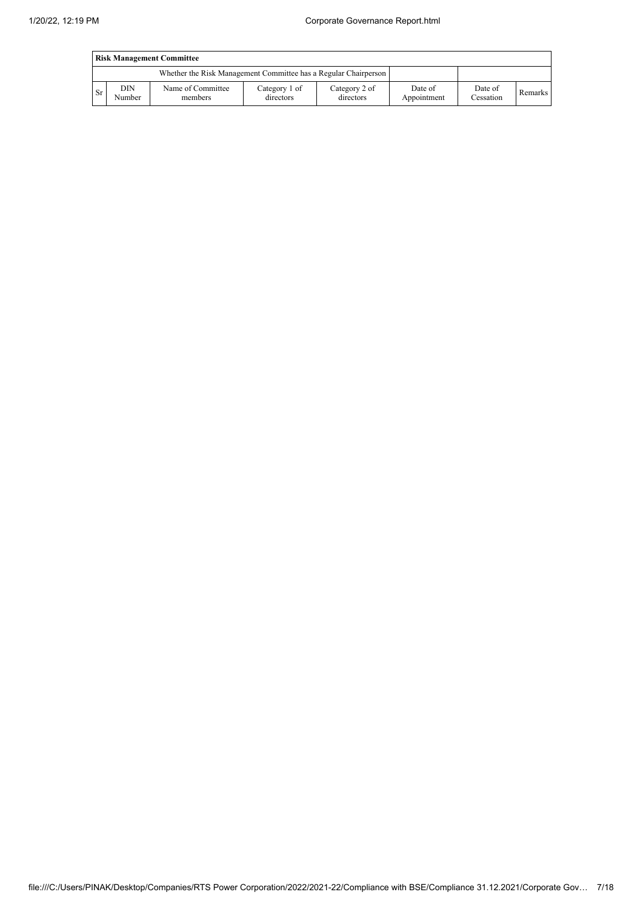|      | <b>Risk Management Committee</b> |                                                                 |                            |                            |                        |                      |         |  |  |  |
|------|----------------------------------|-----------------------------------------------------------------|----------------------------|----------------------------|------------------------|----------------------|---------|--|--|--|
|      |                                  | Whether the Risk Management Committee has a Regular Chairperson |                            |                            |                        |                      |         |  |  |  |
| l Sr | DIN<br>Number                    | Name of Committee<br>members                                    | Category 1 of<br>directors | Category 2 of<br>directors | Date of<br>Appointment | Date of<br>Cessation | Remarks |  |  |  |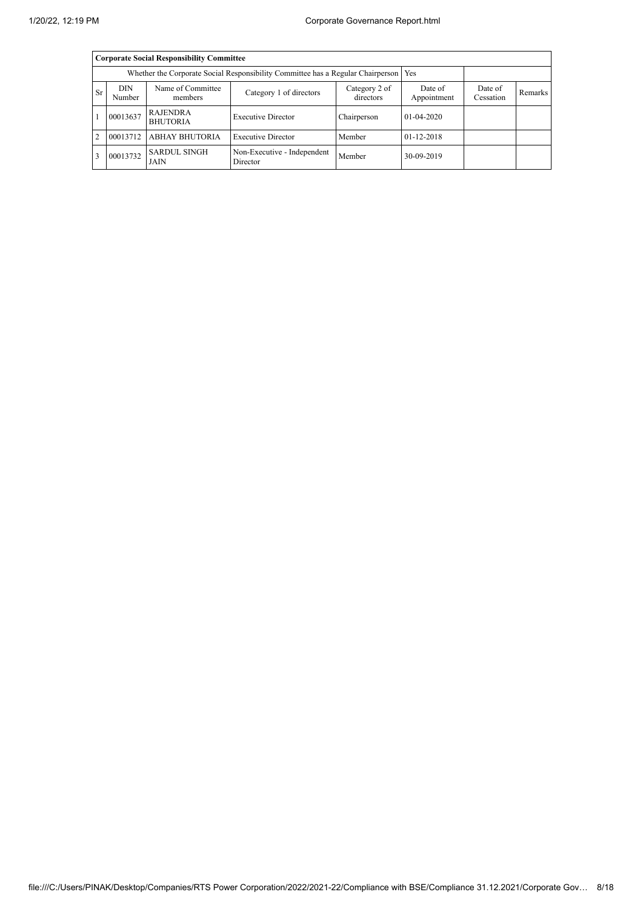|                | <b>Corporate Social Responsibility Committee</b>                                      |                                    |                                         |                      |                  |  |  |  |  |  |
|----------------|---------------------------------------------------------------------------------------|------------------------------------|-----------------------------------------|----------------------|------------------|--|--|--|--|--|
|                | Whether the Corporate Social Responsibility Committee has a Regular Chairperson   Yes |                                    |                                         |                      |                  |  |  |  |  |  |
| <b>Sr</b>      | DIN<br>Number                                                                         | Name of Committee<br>members       | Date of<br>Appointment                  | Date of<br>Cessation | Remarks          |  |  |  |  |  |
|                | 00013637                                                                              | RAJENDRA<br><b>BHUTORIA</b>        | <b>Executive Director</b>               | Chairperson          | $01 - 04 - 2020$ |  |  |  |  |  |
| $\overline{2}$ | 00013712                                                                              | <b>ABHAY BHUTORIA</b>              | <b>Executive Director</b>               | Member               | $01 - 12 - 2018$ |  |  |  |  |  |
|                | 00013732                                                                              | <b>SARDUL SINGH</b><br><b>JAIN</b> | Non-Executive - Independent<br>Director | Member               | 30-09-2019       |  |  |  |  |  |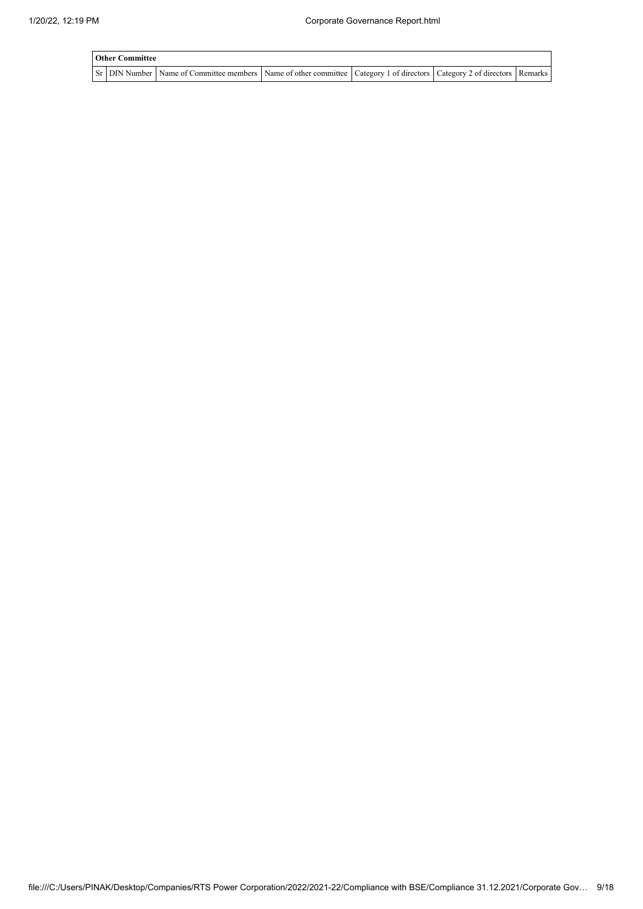| <b>Other Committee</b> |                                                                                                                         |  |  |
|------------------------|-------------------------------------------------------------------------------------------------------------------------|--|--|
|                        | Sr DIN Number Name of Committee members Name of other committee Category 1 of directors Category 2 of directors Remarks |  |  |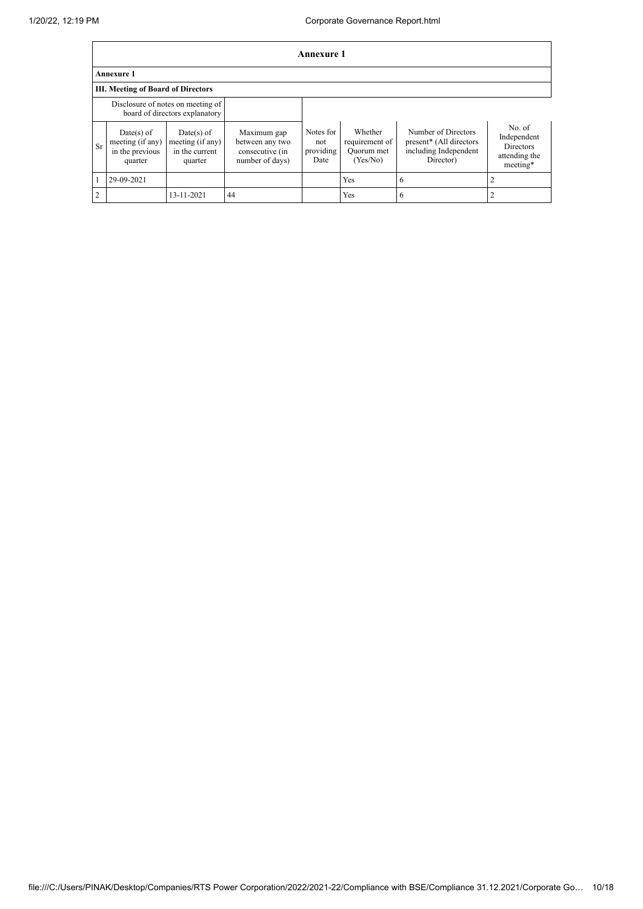|                | Annexure 1                                                          |                                                               |                                                                      |                                       |                                                     |                                                                                                  |                                                                 |  |  |
|----------------|---------------------------------------------------------------------|---------------------------------------------------------------|----------------------------------------------------------------------|---------------------------------------|-----------------------------------------------------|--------------------------------------------------------------------------------------------------|-----------------------------------------------------------------|--|--|
|                | <b>Annexure 1</b>                                                   |                                                               |                                                                      |                                       |                                                     |                                                                                                  |                                                                 |  |  |
|                | <b>III. Meeting of Board of Directors</b>                           |                                                               |                                                                      |                                       |                                                     |                                                                                                  |                                                                 |  |  |
|                | Disclosure of notes on meeting of<br>board of directors explanatory |                                                               |                                                                      |                                       |                                                     |                                                                                                  |                                                                 |  |  |
| Sr             | Date(s) of<br>meeting (if any)<br>in the previous<br>quarter        | $Date(s)$ of<br>meeting (if any)<br>in the current<br>quarter | Maximum gap<br>between any two<br>consecutive (in<br>number of days) | Notes for<br>not<br>providing<br>Date | Whether<br>requirement of<br>Quorum met<br>(Yes/No) | Number of Directors<br>present <sup>*</sup> (All directors<br>including Independent<br>Director) | No. of<br>Independent<br>Directors<br>attending the<br>meeting* |  |  |
|                | 29-09-2021                                                          |                                                               |                                                                      |                                       | Yes                                                 | 6                                                                                                |                                                                 |  |  |
| $\overline{2}$ |                                                                     | 13-11-2021                                                    | 44                                                                   |                                       | Yes                                                 | 6                                                                                                |                                                                 |  |  |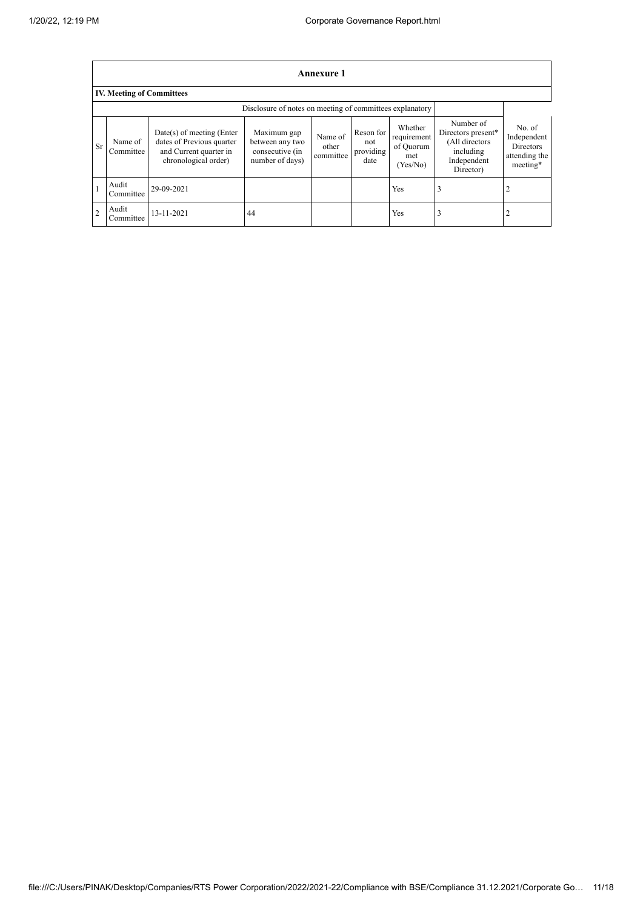$\blacksquare$ 

|                | Annexure 1                                               |                                                                                                          |                                                                      |                               |                                       |                                                        |                                                                                            |                                                                        |  |
|----------------|----------------------------------------------------------|----------------------------------------------------------------------------------------------------------|----------------------------------------------------------------------|-------------------------------|---------------------------------------|--------------------------------------------------------|--------------------------------------------------------------------------------------------|------------------------------------------------------------------------|--|
|                | <b>IV. Meeting of Committees</b>                         |                                                                                                          |                                                                      |                               |                                       |                                                        |                                                                                            |                                                                        |  |
|                | Disclosure of notes on meeting of committees explanatory |                                                                                                          |                                                                      |                               |                                       |                                                        |                                                                                            |                                                                        |  |
| <b>Sr</b>      | Name of<br>Committee                                     | Date(s) of meeting (Enter<br>dates of Previous quarter<br>and Current quarter in<br>chronological order) | Maximum gap<br>between any two<br>consecutive (in<br>number of days) | Name of<br>other<br>committee | Reson for<br>not<br>providing<br>date | Whether<br>requirement<br>of Ouorum<br>met<br>(Yes/No) | Number of<br>Directors present*<br>(All directors<br>including<br>Independent<br>Director) | No. of<br>Independent<br><b>Directors</b><br>attending the<br>meeting* |  |
|                | Audit<br>Committee                                       | 29-09-2021                                                                                               |                                                                      |                               |                                       | Yes                                                    |                                                                                            | 2                                                                      |  |
| $\overline{2}$ | Audit<br>Committee                                       | 13-11-2021                                                                                               | 44                                                                   |                               |                                       | Yes                                                    |                                                                                            |                                                                        |  |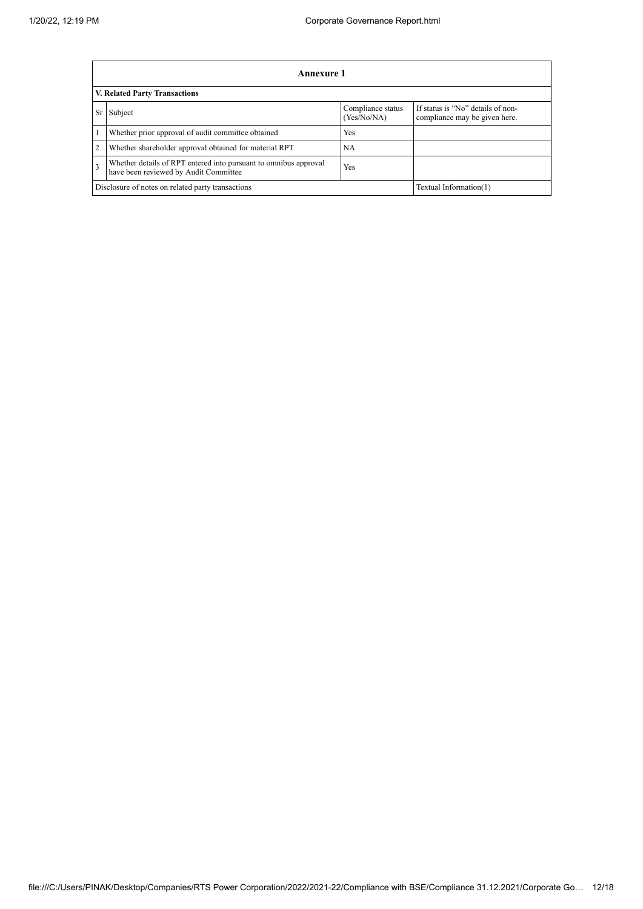|                         | Annexure 1                                                                                                |                                  |                                                                    |  |  |  |  |  |
|-------------------------|-----------------------------------------------------------------------------------------------------------|----------------------------------|--------------------------------------------------------------------|--|--|--|--|--|
|                         | V. Related Party Transactions                                                                             |                                  |                                                                    |  |  |  |  |  |
| <b>Sr</b>               | Subject                                                                                                   | Compliance status<br>(Yes/No/NA) | If status is "No" details of non-<br>compliance may be given here. |  |  |  |  |  |
| 1                       | Whether prior approval of audit committee obtained                                                        | Yes                              |                                                                    |  |  |  |  |  |
| $\overline{2}$          | Whether shareholder approval obtained for material RPT                                                    | NA                               |                                                                    |  |  |  |  |  |
| $\overline{\mathbf{3}}$ | Whether details of RPT entered into pursuant to omnibus approval<br>have been reviewed by Audit Committee | Yes                              |                                                                    |  |  |  |  |  |
|                         | Disclosure of notes on related party transactions<br>Textual Information(1)                               |                                  |                                                                    |  |  |  |  |  |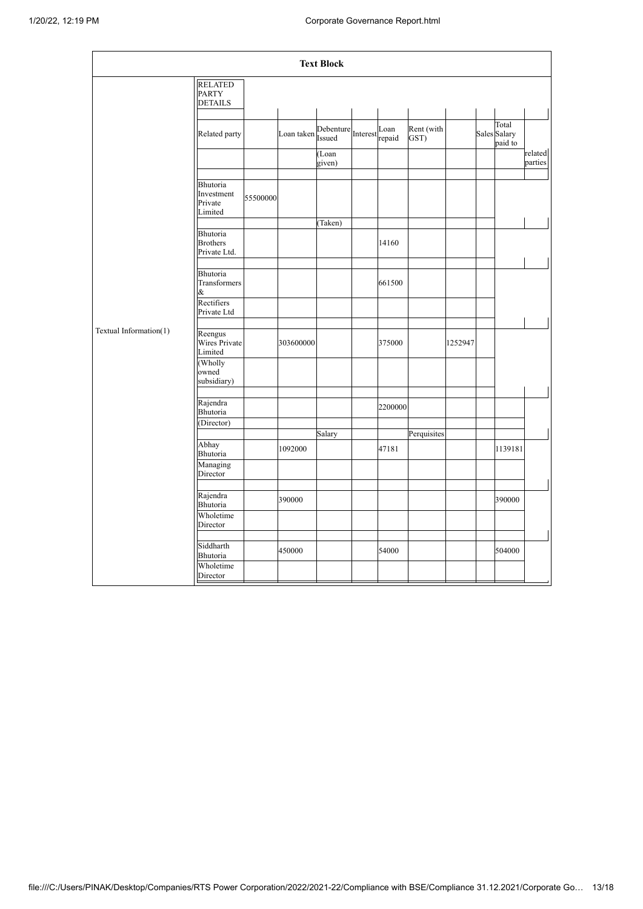|                        |                                                    |          |                                    | <b>Text Block</b> |         |                    |         |                                  |                    |
|------------------------|----------------------------------------------------|----------|------------------------------------|-------------------|---------|--------------------|---------|----------------------------------|--------------------|
|                        | <b>RELATED</b><br><b>PARTY</b><br><b>DETAILS</b>   |          |                                    |                   |         |                    |         |                                  |                    |
|                        | Related party                                      |          | Loan taken Debenture Interest Loan |                   |         | Rent (with<br>GST) |         | Total<br>Sales Salary<br>paid to |                    |
|                        |                                                    |          |                                    | (Loan<br>given)   |         |                    |         |                                  | related<br>parties |
|                        | Bhutoria<br>Investment<br>Private<br>Limited       | 55500000 |                                    |                   |         |                    |         |                                  |                    |
|                        | <b>Bhutoria</b><br><b>Brothers</b><br>Private Ltd. |          |                                    | (Taken)           | 14160   |                    |         |                                  |                    |
|                        | <b>Bhutoria</b><br>Transformers<br>&               |          |                                    |                   | 661500  |                    |         |                                  |                    |
|                        | Rectifiers<br>Private Ltd                          |          |                                    |                   |         |                    |         |                                  |                    |
| Textual Information(1) | Reengus<br>Wires Private<br>Limited                |          | 303600000                          |                   | 375000  |                    | 1252947 |                                  |                    |
|                        | (Wholly<br>owned<br>subsidiary)                    |          |                                    |                   |         |                    |         |                                  |                    |
|                        | Rajendra<br>Bhutoria<br>(Director)                 |          |                                    |                   | 2200000 |                    |         |                                  |                    |
|                        |                                                    |          |                                    | Salary            |         | Perquisites        |         |                                  |                    |
|                        | Abhay<br>Bhutoria                                  |          | 1092000                            |                   | 47181   |                    |         | 1139181                          |                    |
|                        | Managing<br>Director                               |          |                                    |                   |         |                    |         |                                  |                    |
|                        | Rajendra<br>Bhutoria                               |          | 390000                             |                   |         |                    |         | 390000                           |                    |
|                        | Wholetime<br>Director                              |          |                                    |                   |         |                    |         |                                  |                    |
|                        | Siddharth<br>Bhutoria                              |          | 450000                             |                   | 54000   |                    |         | 504000                           |                    |
|                        | Wholetime<br>Director                              |          |                                    |                   |         |                    |         |                                  |                    |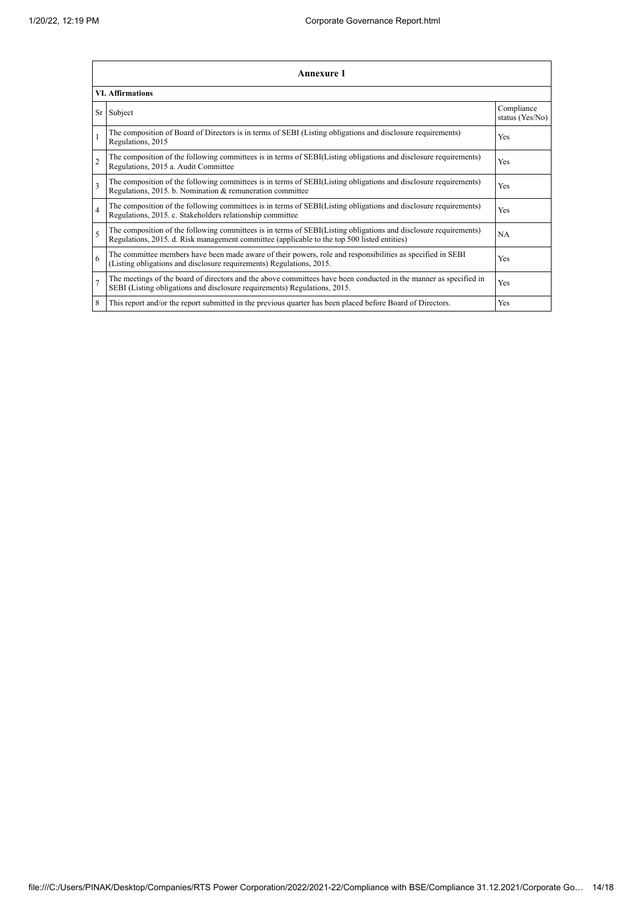|                          | <b>Annexure 1</b>                                                                                                                                                                                               |     |  |  |  |
|--------------------------|-----------------------------------------------------------------------------------------------------------------------------------------------------------------------------------------------------------------|-----|--|--|--|
|                          | <b>VI. Affirmations</b>                                                                                                                                                                                         |     |  |  |  |
|                          | Sr Subject                                                                                                                                                                                                      |     |  |  |  |
|                          | The composition of Board of Directors is in terms of SEBI (Listing obligations and disclosure requirements)<br>Regulations, 2015                                                                                | Yes |  |  |  |
| $\overline{2}$           | The composition of the following committees is in terms of SEBI(Listing obligations and disclosure requirements)<br>Regulations, 2015 a. Audit Committee                                                        | Yes |  |  |  |
| $\overline{3}$           | The composition of the following committees is in terms of SEBI(Listing obligations and disclosure requirements)<br>Regulations, 2015. b. Nomination & remuneration committee                                   | Yes |  |  |  |
| $\overline{4}$           | The composition of the following committees is in terms of SEBI(Listing obligations and disclosure requirements)<br>Regulations, 2015. c. Stakeholders relationship committee                                   | Yes |  |  |  |
| $\overline{\phantom{0}}$ | The composition of the following committees is in terms of SEBI(Listing obligations and disclosure requirements)<br>Regulations, 2015. d. Risk management committee (applicable to the top 500 listed entities) | NA  |  |  |  |
| 6                        | The committee members have been made aware of their powers, role and responsibilities as specified in SEBI<br>(Listing obligations and disclosure requirements) Regulations, 2015.                              | Yes |  |  |  |
| $\overline{7}$           | The meetings of the board of directors and the above committees have been conducted in the manner as specified in<br>SEBI (Listing obligations and disclosure requirements) Regulations, 2015.                  | Yes |  |  |  |
| 8                        | This report and/or the report submitted in the previous quarter has been placed before Board of Directors.                                                                                                      | Yes |  |  |  |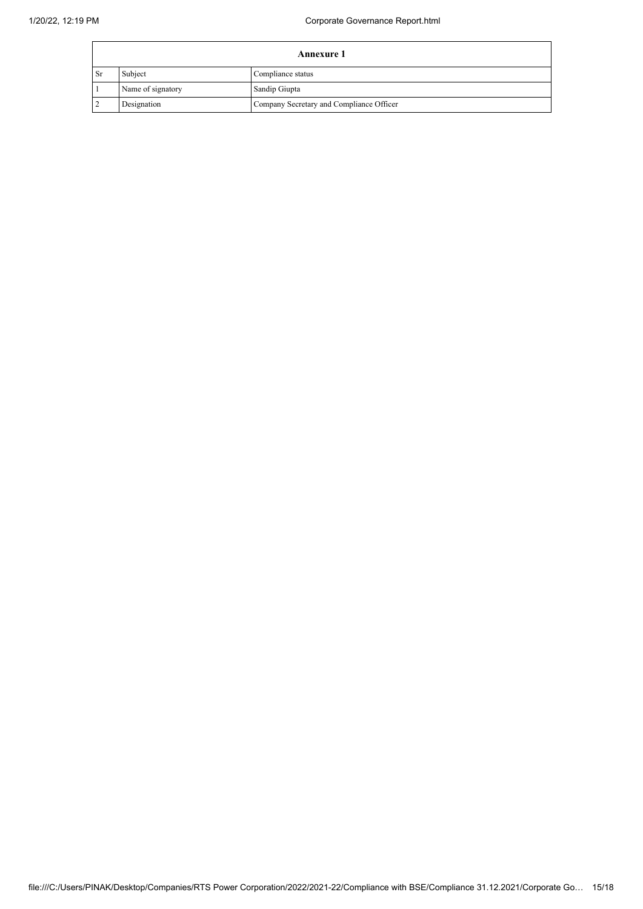| <b>Annexure 1</b> |                   |                                          |  |
|-------------------|-------------------|------------------------------------------|--|
| ' Sr              | Subject           | Compliance status                        |  |
|                   | Name of signatory | Sandip Giupta                            |  |
|                   | Designation       | Company Secretary and Compliance Officer |  |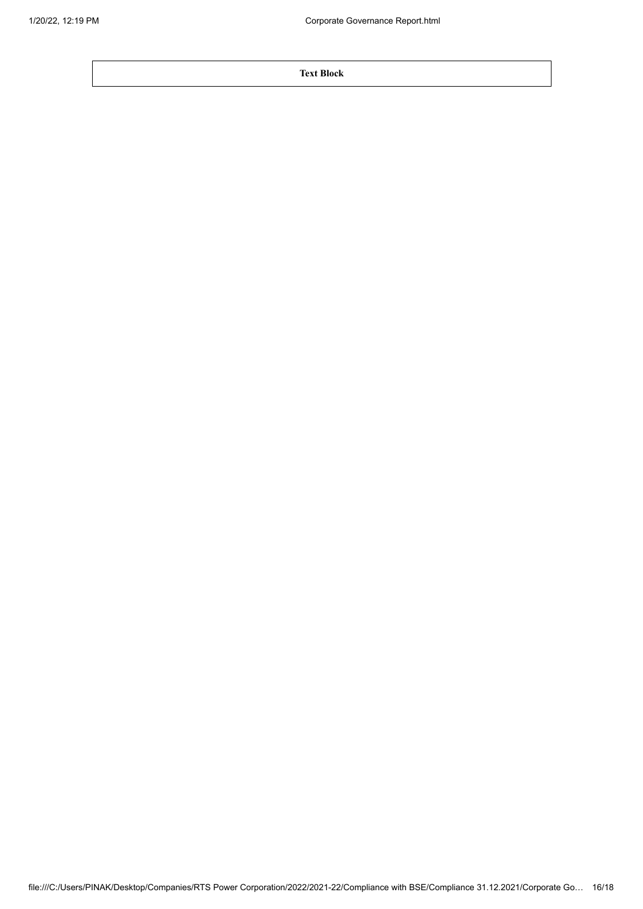**Text Block**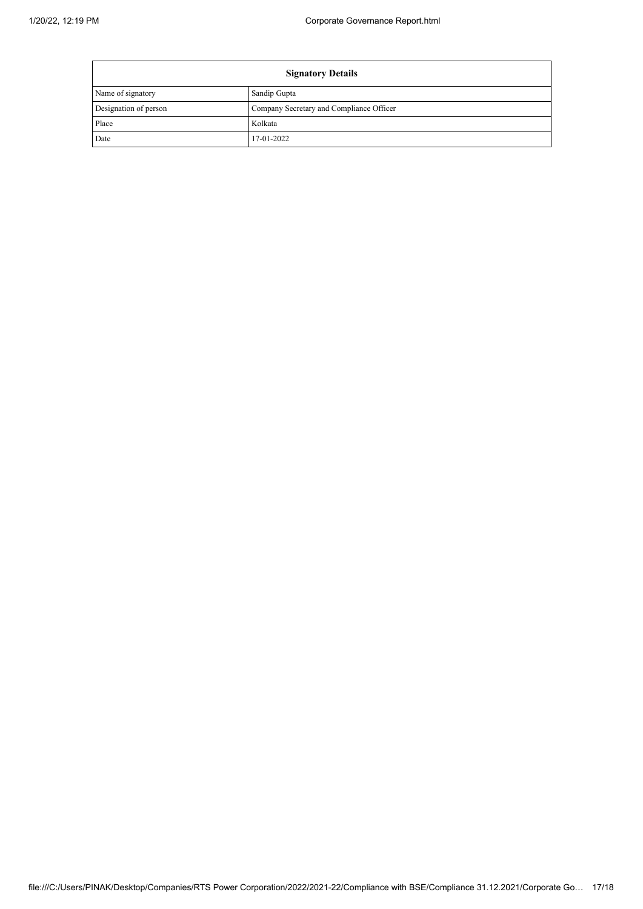| <b>Signatory Details</b> |                                          |  |  |
|--------------------------|------------------------------------------|--|--|
| Name of signatory        | Sandip Gupta                             |  |  |
| Designation of person    | Company Secretary and Compliance Officer |  |  |
| Place                    | Kolkata                                  |  |  |
| Date                     | 17-01-2022                               |  |  |